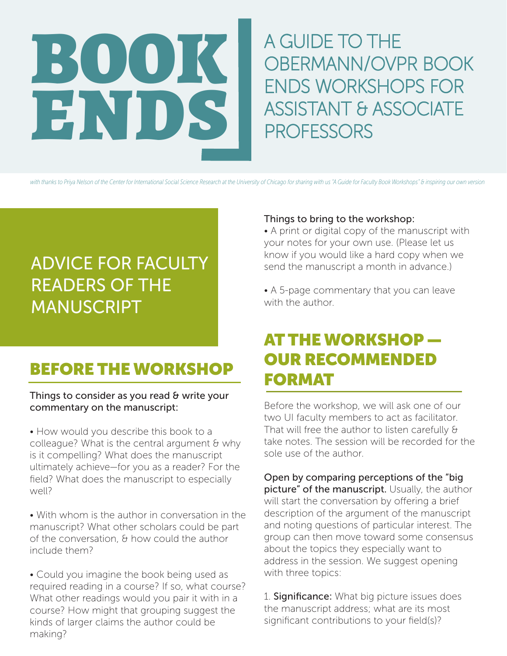A GUIDE TO THE OBERMANN/OVPR BOOK ENDS WORKSHOPS FOR ASSISTANT & ASSOCIATE **PROFESSORS** 

*with thanks to Priya Nelson of the Center for International Social Science Research at the University of Chicago for sharing with us "A Guide for Faculty Book Workshops" & inspiring our own version*

# ADVICE FOR FACULTY READERS OF THE **MANUSCRIPT**

BOOK

ENDS

### BEFORE THE WORKSHOP

#### Things to consider as you read & write your commentary on the manuscript:

• How would you describe this book to a colleague? What is the central argument & why is it compelling? What does the manuscript ultimately achieve—for you as a reader? For the field? What does the manuscript to especially well?

• With whom is the author in conversation in the manuscript? What other scholars could be part of the conversation, & how could the author include them?

• Could you imagine the book being used as required reading in a course? If so, what course? What other readings would you pair it with in a course? How might that grouping suggest the kinds of larger claims the author could be making?

#### Things to bring to the workshop:

• A print or digital copy of the manuscript with your notes for your own use. (Please let us know if you would like a hard copy when we send the manuscript a month in advance.)

• A 5-page commentary that you can leave with the author.

### AT THE WORKSHOP — OUR RECOMMENDED FORMAT

Before the workshop, we will ask one of our two UI faculty members to act as facilitator. That will free the author to listen carefully & take notes. The session will be recorded for the sole use of the author.

Open by comparing perceptions of the "big picture" of the manuscript. Usually, the author will start the conversation by offering a brief description of the argument of the manuscript and noting questions of particular interest. The group can then move toward some consensus about the topics they especially want to address in the session. We suggest opening with three topics:

1. Significance: What big picture issues does the manuscript address; what are its most significant contributions to your field(s)?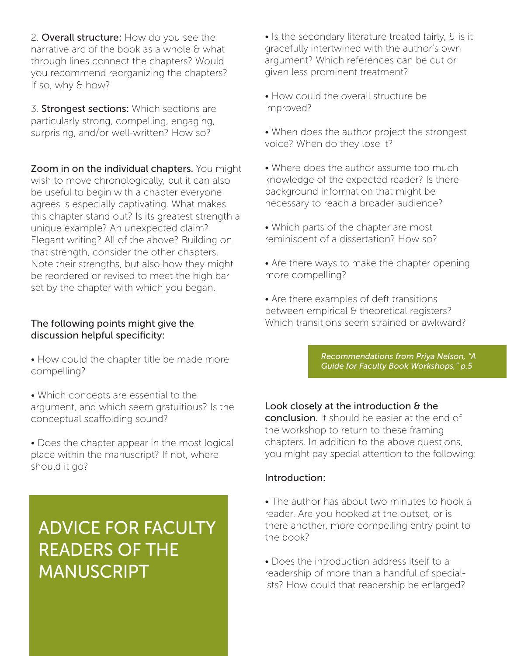2. Overall structure: How do you see the narrative arc of the book as a whole & what through lines connect the chapters? Would you recommend reorganizing the chapters? If so, why & how?

3. Strongest sections: Which sections are particularly strong, compelling, engaging, surprising, and/or well-written? How so?

Zoom in on the individual chapters. You might wish to move chronologically, but it can also be useful to begin with a chapter everyone agrees is especially captivating. What makes this chapter stand out? Is its greatest strength a unique example? An unexpected claim? Elegant writing? All of the above? Building on that strength, consider the other chapters. Note their strengths, but also how they might be reordered or revised to meet the high bar set by the chapter with which you began.

#### The following points might give the discussion helpful specificity:

- How could the chapter title be made more compelling?
- Which concepts are essential to the argument, and which seem gratuitious? Is the conceptual scaffolding sound?
- Does the chapter appear in the most logical place within the manuscript? If not, where should it go?

# ADVICE FOR FACULTY READERS OF THE MANUSCRIPT

• Is the secondary literature treated fairly, & is it gracefully intertwined with the author's own argument? Which references can be cut or given less prominent treatment?

• How could the overall structure be improved?

- When does the author project the strongest voice? When do they lose it?
- Where does the author assume too much knowledge of the expected reader? Is there background information that might be necessary to reach a broader audience?
- Which parts of the chapter are most reminiscent of a dissertation? How so?
- Are there ways to make the chapter opening more compelling?

• Are there examples of deft transitions between empirical & theoretical registers? Which transitions seem strained or awkward?

> *Recommendations from Priya Nelson, "A Guide for Faculty Book Workshops," p.5*

Look closely at the introduction & the conclusion. It should be easier at the end of the workshop to return to these framing chapters. In addition to the above questions, you might pay special attention to the following:

#### Introduction:

• The author has about two minutes to hook a reader. Are you hooked at the outset, or is there another, more compelling entry point to the book?

• Does the introduction address itself to a readership of more than a handful of specialists? How could that readership be enlarged?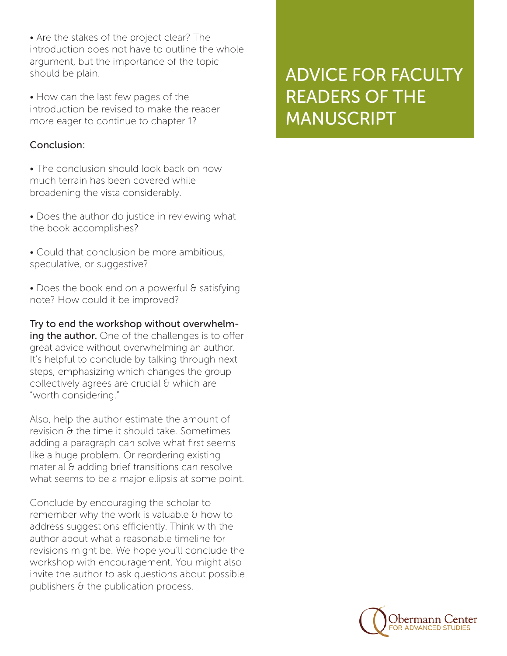• Are the stakes of the project clear? The introduction does not have to outline the whole argument, but the importance of the topic should be plain.

• How can the last few pages of the introduction be revised to make the reader more eager to continue to chapter 1?

#### Conclusion:

• The conclusion should look back on how much terrain has been covered while broadening the vista considerably.

• Does the author do justice in reviewing what the book accomplishes?

• Could that conclusion be more ambitious, speculative, or suggestive?

• Does the book end on a powerful & satisfying note? How could it be improved?

Try to end the workshop without overwhelming the author. One of the challenges is to offer great advice without overwhelming an author. It's helpful to conclude by talking through next steps, emphasizing which changes the group collectively agrees are crucial & which are "worth considering."

Also, help the author estimate the amount of revision & the time it should take. Sometimes adding a paragraph can solve what first seems like a huge problem. Or reordering existing material & adding brief transitions can resolve what seems to be a major ellipsis at some point.

Conclude by encouraging the scholar to remember why the work is valuable & how to address suggestions efficiently. Think with the author about what a reasonable timeline for revisions might be. We hope you'll conclude the workshop with encouragement. You might also invite the author to ask questions about possible publishers & the publication process.

## ADVICE FOR FACULTY READERS OF THE MANUSCRIPT

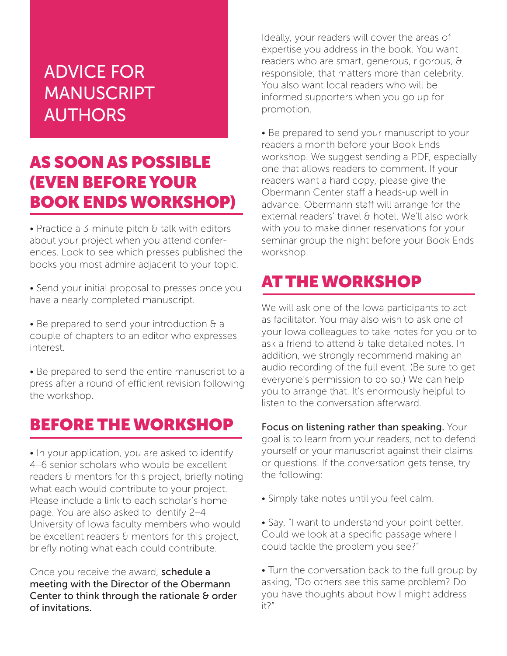# ADVICE FOR **MANUSCRIPT** AUTHORS

### AS SOON AS POSSIBLE (EVEN BEFORE YOUR BOOK ENDS WORKSHOP)

• Practice a 3-minute pitch & talk with editors about your project when you attend conferences. Look to see which presses published the books you most admire adjacent to your topic.

• Send your initial proposal to presses once you have a nearly completed manuscript.

• Be prepared to send your introduction & a couple of chapters to an editor who expresses interest.

• Be prepared to send the entire manuscript to a press after a round of efficient revision following the workshop.

### BEFORE THE WORKSHOP

• In your application, you are asked to identify 4–6 senior scholars who would be excellent readers & mentors for this project, briefly noting what each would contribute to your project. Please include a link to each scholar's homepage. You are also asked to identify 2–4 University of Iowa faculty members who would be excellent readers & mentors for this project, briefly noting what each could contribute.

Once you receive the award, schedule a meeting with the Director of the Obermann Center to think through the rationale & order of invitations.

Ideally, your readers will cover the areas of expertise you address in the book. You want readers who are smart, generous, rigorous, & responsible; that matters more than celebrity. You also want local readers who will be informed supporters when you go up for promotion.

• Be prepared to send your manuscript to your readers a month before your Book Ends workshop. We suggest sending a PDF, especially one that allows readers to comment. If your readers want a hard copy, please give the Obermann Center staff a heads-up well in advance. Obermann staff will arrange for the external readers' travel & hotel. We'll also work with you to make dinner reservations for your seminar group the night before your Book Ends workshop.

### AT THE WORKSHOP

We will ask one of the Iowa participants to act as facilitator. You may also wish to ask one of your Iowa colleagues to take notes for you or to ask a friend to attend & take detailed notes. In addition, we strongly recommend making an audio recording of the full event. (Be sure to get everyone's permission to do so.) We can help you to arrange that. It's enormously helpful to listen to the conversation afterward.

Focus on listening rather than speaking. Your goal is to learn from your readers, not to defend yourself or your manuscript against their claims or questions. If the conversation gets tense, try the following:

• Simply take notes until you feel calm.

• Say, "I want to understand your point better. Could we look at a specific passage where I could tackle the problem you see?"

• Turn the conversation back to the full group by asking, "Do others see this same problem? Do you have thoughts about how I might address it?"